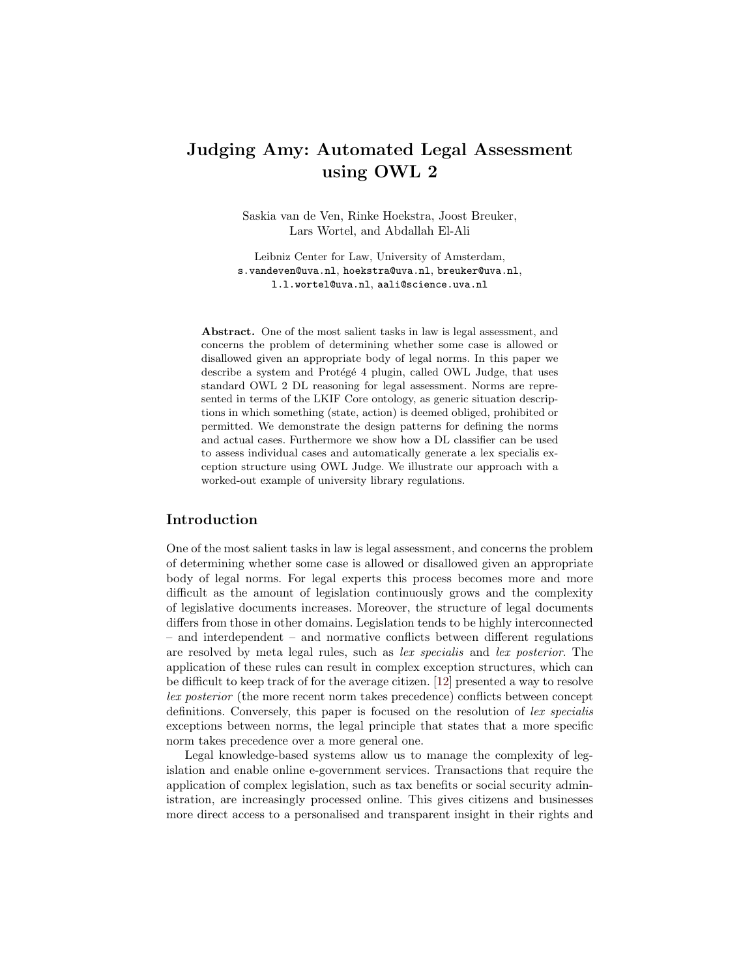# Judging Amy: Automated Legal Assessment using OWL 2

Saskia van de Ven, Rinke Hoekstra, Joost Breuker, Lars Wortel, and Abdallah El-Ali

Leibniz Center for Law, University of Amsterdam, s.vandeven@uva.nl, hoekstra@uva.nl, breuker@uva.nl, l.l.wortel@uva.nl, aali@science.uva.nl

Abstract. One of the most salient tasks in law is legal assessment, and concerns the problem of determining whether some case is allowed or disallowed given an appropriate body of legal norms. In this paper we describe a system and Protégé 4 plugin, called OWL Judge, that uses standard OWL 2 DL reasoning for legal assessment. Norms are represented in terms of the LKIF Core ontology, as generic situation descriptions in which something (state, action) is deemed obliged, prohibited or permitted. We demonstrate the design patterns for defining the norms and actual cases. Furthermore we show how a DL classifier can be used to assess individual cases and automatically generate a lex specialis exception structure using OWL Judge. We illustrate our approach with a worked-out example of university library regulations.

#### Introduction

One of the most salient tasks in law is legal assessment, and concerns the problem of determining whether some case is allowed or disallowed given an appropriate body of legal norms. For legal experts this process becomes more and more difficult as the amount of legislation continuously grows and the complexity of legislative documents increases. Moreover, the structure of legal documents differs from those in other domains. Legislation tends to be highly interconnected – and interdependent – and normative conflicts between different regulations are resolved by meta legal rules, such as lex specialis and lex posterior. The application of these rules can result in complex exception structures, which can be difficult to keep track of for the average citizen. [\[12\]](#page-11-0) presented a way to resolve lex posterior (the more recent norm takes precedence) conflicts between concept definitions. Conversely, this paper is focused on the resolution of lex specialis exceptions between norms, the legal principle that states that a more specific norm takes precedence over a more general one.

Legal knowledge-based systems allow us to manage the complexity of legislation and enable online e-government services. Transactions that require the application of complex legislation, such as tax benefits or social security administration, are increasingly processed online. This gives citizens and businesses more direct access to a personalised and transparent insight in their rights and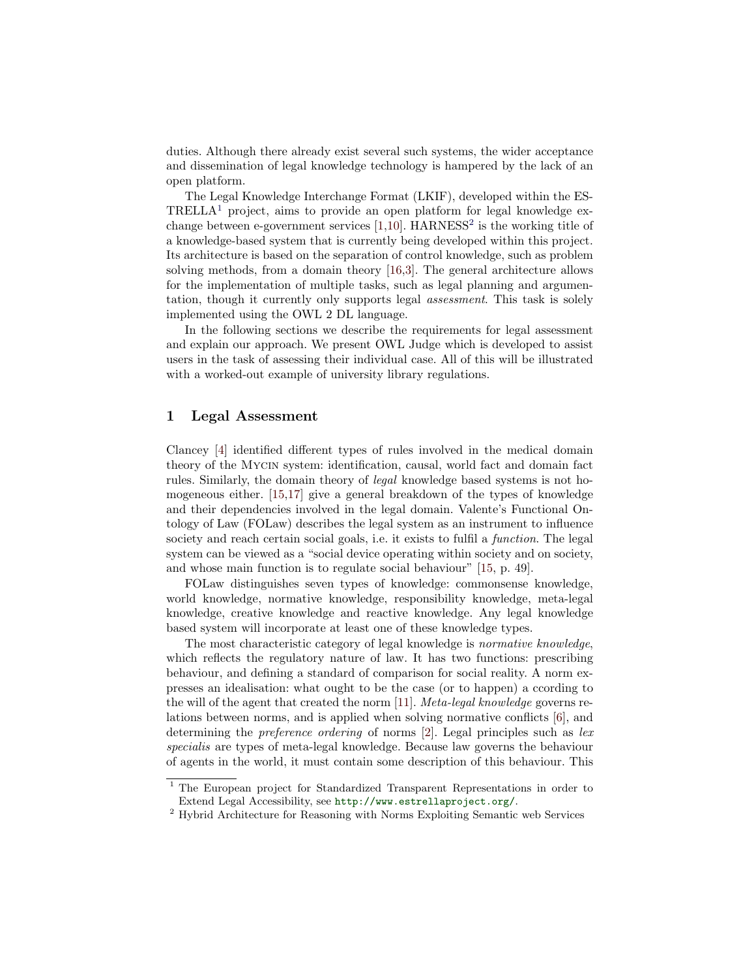duties. Although there already exist several such systems, the wider acceptance and dissemination of legal knowledge technology is hampered by the lack of an open platform.

The Legal Knowledge Interchange Format (LKIF), developed within the ES- $TRELLA<sup>1</sup>$  $TRELLA<sup>1</sup>$  $TRELLA<sup>1</sup>$  project, aims to provide an open platform for legal knowledge exchange between e-government services  $[1,10]$  $[1,10]$ . HARNESS<sup>[2](#page-1-1)</sup> is the working title of a knowledge-based system that is currently being developed within this project. Its architecture is based on the separation of control knowledge, such as problem solving methods, from a domain theory [\[16,](#page-11-2)[3\]](#page-10-1). The general architecture allows for the implementation of multiple tasks, such as legal planning and argumentation, though it currently only supports legal assessment. This task is solely implemented using the OWL 2 DL language.

In the following sections we describe the requirements for legal assessment and explain our approach. We present OWL Judge which is developed to assist users in the task of assessing their individual case. All of this will be illustrated with a worked-out example of university library regulations.

## 1 Legal Assessment

Clancey [\[4\]](#page-10-2) identified different types of rules involved in the medical domain theory of the Mycin system: identification, causal, world fact and domain fact rules. Similarly, the domain theory of legal knowledge based systems is not homogeneous either. [\[15](#page-11-3)[,17\]](#page-11-4) give a general breakdown of the types of knowledge and their dependencies involved in the legal domain. Valente's Functional Ontology of Law (FOLaw) describes the legal system as an instrument to influence society and reach certain social goals, i.e. it exists to fulfil a *function*. The legal system can be viewed as a "social device operating within society and on society, and whose main function is to regulate social behaviour" [\[15,](#page-11-3) p. 49].

FOLaw distinguishes seven types of knowledge: commonsense knowledge, world knowledge, normative knowledge, responsibility knowledge, meta-legal knowledge, creative knowledge and reactive knowledge. Any legal knowledge based system will incorporate at least one of these knowledge types.

The most characteristic category of legal knowledge is normative knowledge, which reflects the regulatory nature of law. It has two functions: prescribing behaviour, and defining a standard of comparison for social reality. A norm expresses an idealisation: what ought to be the case (or to happen) a ccording to the will of the agent that created the norm [\[11\]](#page-11-5). Meta-legal knowledge governs relations between norms, and is applied when solving normative conflicts [\[6\]](#page-11-6), and determining the *preference ordering* of norms [\[2\]](#page-10-3). Legal principles such as lex specialis are types of meta-legal knowledge. Because law governs the behaviour of agents in the world, it must contain some description of this behaviour. This

<span id="page-1-0"></span><sup>&</sup>lt;sup>1</sup> The European project for Standardized Transparent Representations in order to Extend Legal Accessibility, see <http://www.estrellaproject.org/>.

<span id="page-1-1"></span><sup>2</sup> Hybrid Architecture for Reasoning with Norms Exploiting Semantic web Services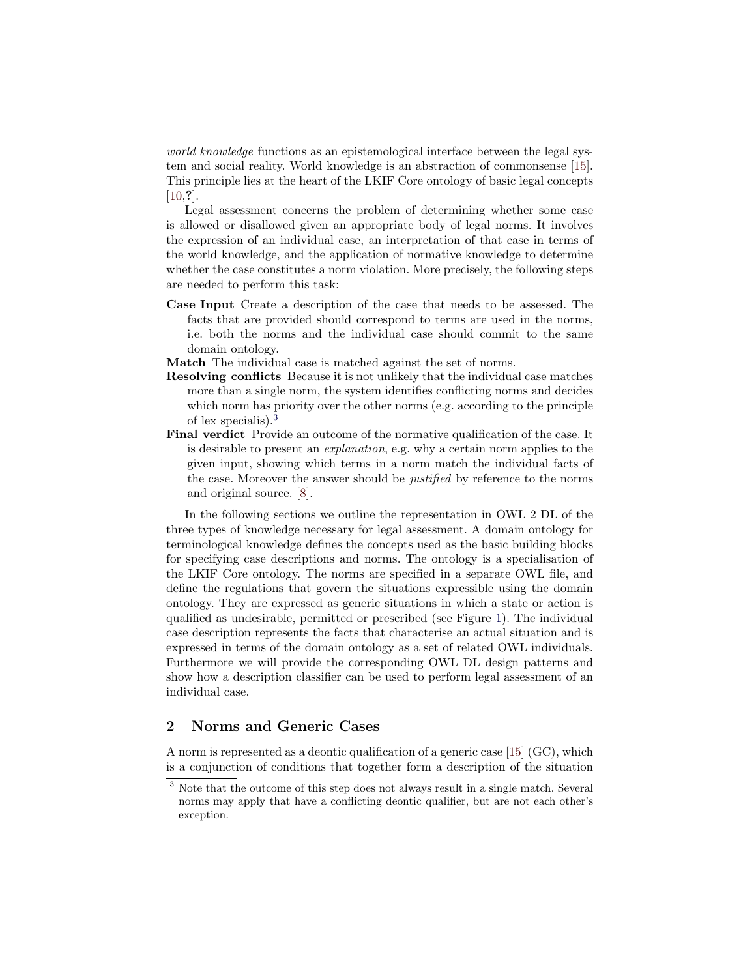world knowledge functions as an epistemological interface between the legal system and social reality. World knowledge is an abstraction of commonsense [\[15\]](#page-11-3). This principle lies at the heart of the LKIF Core ontology of basic legal concepts  $[10, ?]$  $[10, ?]$ .

Legal assessment concerns the problem of determining whether some case is allowed or disallowed given an appropriate body of legal norms. It involves the expression of an individual case, an interpretation of that case in terms of the world knowledge, and the application of normative knowledge to determine whether the case constitutes a norm violation. More precisely, the following steps are needed to perform this task:

- Case Input Create a description of the case that needs to be assessed. The facts that are provided should correspond to terms are used in the norms, i.e. both the norms and the individual case should commit to the same domain ontology.
- Match The individual case is matched against the set of norms.
- Resolving conflicts Because it is not unlikely that the individual case matches more than a single norm, the system identifies conflicting norms and decides which norm has priority over the other norms (e.g. according to the principle of lex specialis).[3](#page-2-0)
- Final verdict Provide an outcome of the normative qualification of the case. It is desirable to present an explanation, e.g. why a certain norm applies to the given input, showing which terms in a norm match the individual facts of the case. Moreover the answer should be justified by reference to the norms and original source. [\[8\]](#page-11-7).

In the following sections we outline the representation in OWL 2 DL of the three types of knowledge necessary for legal assessment. A domain ontology for terminological knowledge defines the concepts used as the basic building blocks for specifying case descriptions and norms. The ontology is a specialisation of the LKIF Core ontology. The norms are specified in a separate OWL file, and define the regulations that govern the situations expressible using the domain ontology. They are expressed as generic situations in which a state or action is qualified as undesirable, permitted or prescribed (see Figure [1\)](#page-3-0). The individual case description represents the facts that characterise an actual situation and is expressed in terms of the domain ontology as a set of related OWL individuals. Furthermore we will provide the corresponding OWL DL design patterns and show how a description classifier can be used to perform legal assessment of an individual case.

## 2 Norms and Generic Cases

A norm is represented as a deontic qualification of a generic case [\[15\]](#page-11-3) (GC), which is a conjunction of conditions that together form a description of the situation

<span id="page-2-0"></span><sup>3</sup> Note that the outcome of this step does not always result in a single match. Several norms may apply that have a conflicting deontic qualifier, but are not each other's exception.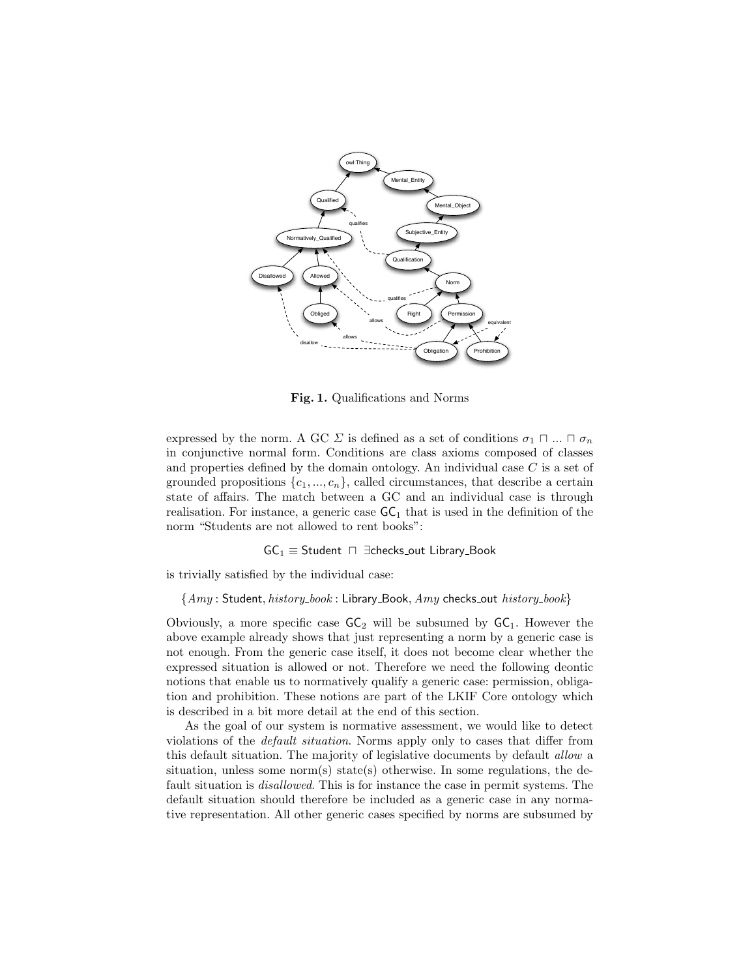

<span id="page-3-0"></span>Fig. 1. Qualifications and Norms

expressed by the norm. A GC  $\Sigma$  is defined as a set of conditions  $\sigma_1 \sqcap ... \sqcap \sigma_n$ in conjunctive normal form. Conditions are class axioms composed of classes and properties defined by the domain ontology. An individual case  $C$  is a set of grounded propositions  $\{c_1, ..., c_n\}$ , called circumstances, that describe a certain state of affairs. The match between a GC and an individual case is through realisation. For instance, a generic case  $GC<sub>1</sub>$  that is used in the definition of the norm "Students are not allowed to rent books":

 $GC_1 \equiv$  Student  $\Box$  ∃checks\_out Library\_Book

is trivially satisfied by the individual case:

 ${Amy: Student, history\_book: Library\_Book, Amy checks_out history\_book}$ 

Obviously, a more specific case  $GC_2$  will be subsumed by  $GC_1$ . However the above example already shows that just representing a norm by a generic case is not enough. From the generic case itself, it does not become clear whether the expressed situation is allowed or not. Therefore we need the following deontic notions that enable us to normatively qualify a generic case: permission, obligation and prohibition. These notions are part of the LKIF Core ontology which is described in a bit more detail at the end of this section.

As the goal of our system is normative assessment, we would like to detect violations of the default situation. Norms apply only to cases that differ from this default situation. The majority of legislative documents by default allow a situation, unless some norm(s) state(s) otherwise. In some regulations, the default situation is disallowed. This is for instance the case in permit systems. The default situation should therefore be included as a generic case in any normative representation. All other generic cases specified by norms are subsumed by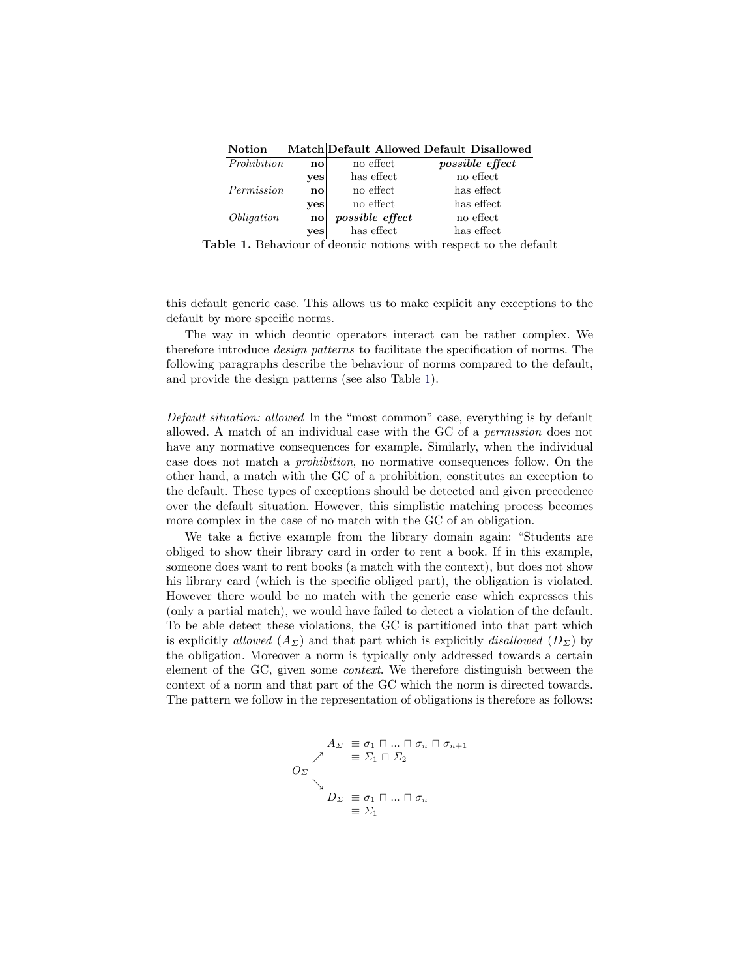| <b>Notion</b>     |               |                 | Match Default Allowed Default Disallowed |
|-------------------|---------------|-----------------|------------------------------------------|
| Prohibition       | no            | no effect       | <i>possible effect</i>                   |
|                   | yes           | has effect      | no effect                                |
| Permission        | no            | no effect       | has effect                               |
|                   | yes           | no effect       | has effect                               |
| <i>Obligation</i> | $\mathbf{no}$ | possible effect | no effect                                |
|                   | yes           | has effect      | has effect                               |

<span id="page-4-0"></span>Table 1. Behaviour of deontic notions with respect to the default

this default generic case. This allows us to make explicit any exceptions to the default by more specific norms.

The way in which deontic operators interact can be rather complex. We therefore introduce design patterns to facilitate the specification of norms. The following paragraphs describe the behaviour of norms compared to the default, and provide the design patterns (see also Table [1\)](#page-4-0).

Default situation: allowed In the "most common" case, everything is by default allowed. A match of an individual case with the GC of a permission does not have any normative consequences for example. Similarly, when the individual case does not match a prohibition, no normative consequences follow. On the other hand, a match with the GC of a prohibition, constitutes an exception to the default. These types of exceptions should be detected and given precedence over the default situation. However, this simplistic matching process becomes more complex in the case of no match with the GC of an obligation.

We take a fictive example from the library domain again: "Students are obliged to show their library card in order to rent a book. If in this example, someone does want to rent books (a match with the context), but does not show his library card (which is the specific obliged part), the obligation is violated. However there would be no match with the generic case which expresses this (only a partial match), we would have failed to detect a violation of the default. To be able detect these violations, the GC is partitioned into that part which is explicitly allowed  $(A_{\Sigma})$  and that part which is explicitly disallowed  $(D_{\Sigma})$  by the obligation. Moreover a norm is typically only addressed towards a certain element of the GC, given some context. We therefore distinguish between the context of a norm and that part of the GC which the norm is directed towards. The pattern we follow in the representation of obligations is therefore as follows:

$$
A_{\Sigma} \equiv \sigma_1 \sqcap ... \sqcap \sigma_n \sqcap \sigma_{n+1}
$$
  
\n
$$
\nearrow \equiv \Sigma_1 \sqcap \Sigma_2
$$
  
\n
$$
O_{\Sigma}
$$
  
\n
$$
D_{\Sigma} \equiv \sigma_1 \sqcap ... \sqcap \sigma_n
$$
  
\n
$$
\equiv \Sigma_1
$$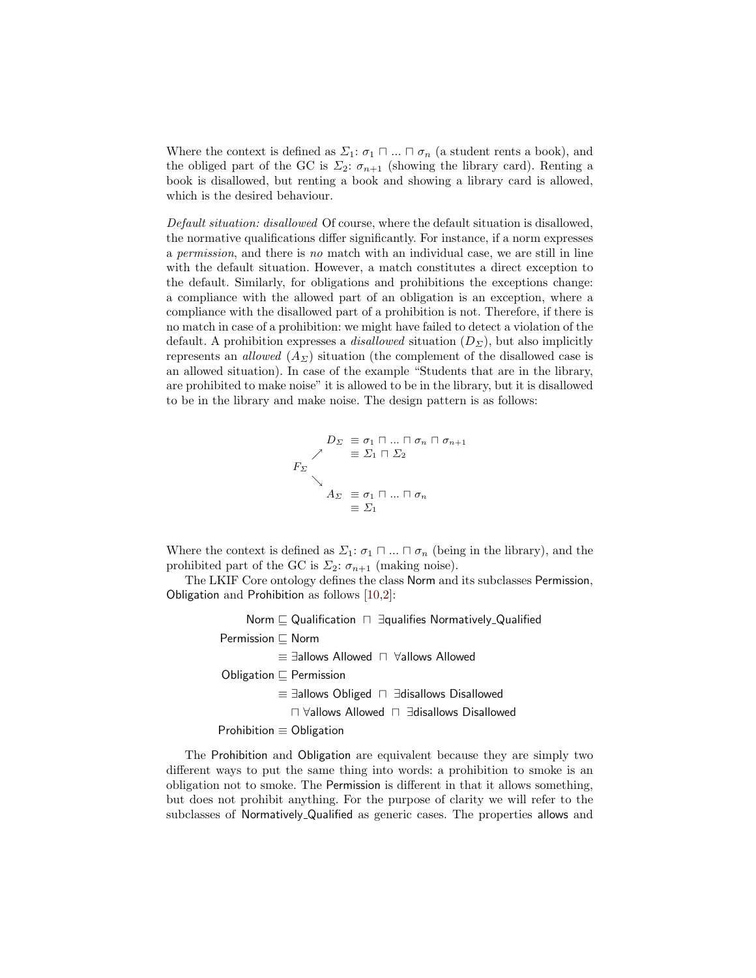Where the context is defined as  $\Sigma_1: \sigma_1 \sqcap ... \sqcap \sigma_n$  (a student rents a book), and the obliged part of the GC is  $\Sigma_2$ :  $\sigma_{n+1}$  (showing the library card). Renting a book is disallowed, but renting a book and showing a library card is allowed, which is the desired behaviour.

Default situation: disallowed Of course, where the default situation is disallowed, the normative qualifications differ significantly. For instance, if a norm expresses a permission, and there is no match with an individual case, we are still in line with the default situation. However, a match constitutes a direct exception to the default. Similarly, for obligations and prohibitions the exceptions change: a compliance with the allowed part of an obligation is an exception, where a compliance with the disallowed part of a prohibition is not. Therefore, if there is no match in case of a prohibition: we might have failed to detect a violation of the default. A prohibition expresses a *disallowed* situation  $(D_{\Sigma})$ , but also implicitly represents an *allowed*  $(A_{\Sigma})$  situation (the complement of the disallowed case is an allowed situation). In case of the example "Students that are in the library, are prohibited to make noise" it is allowed to be in the library, but it is disallowed to be in the library and make noise. The design pattern is as follows:

$$
D_{\Sigma} \equiv \sigma_1 \sqcap ... \sqcap \sigma_n \sqcap \sigma_{n+1}
$$
  
\n
$$
\nearrow \equiv \Sigma_1 \sqcap \Sigma_2
$$
  
\n
$$
A_{\Sigma} \equiv \sigma_1 \sqcap ... \sqcap \sigma_n
$$
  
\n
$$
\equiv \Sigma_1
$$

Where the context is defined as  $\Sigma_1$ :  $\sigma_1 \sqcap ... \sqcap \sigma_n$  (being in the library), and the prohibited part of the GC is  $\Sigma_2$ :  $\sigma_{n+1}$  (making noise).

The LKIF Core ontology defines the class Norm and its subclasses Permission, Obligation and Prohibition as follows [\[10](#page-11-1)[,2\]](#page-10-3):

> Norm  $\sqsubseteq$  Qualification  $\sqcap$  ∃qualifies Normatively Qualified Permission  $\sqsubseteq$  Norm ≡ ∃allows Allowed u ∀allows Allowed Obligation  $\sqsubset$  Permission ≡ ∃allows Obliged u ∃disallows Disallowed u ∀allows Allowed u ∃disallows Disallowed Prohibition ≡ Obligation

The Prohibition and Obligation are equivalent because they are simply two different ways to put the same thing into words: a prohibition to smoke is an obligation not to smoke. The Permission is different in that it allows something, but does not prohibit anything. For the purpose of clarity we will refer to the subclasses of Normatively Qualified as generic cases. The properties allows and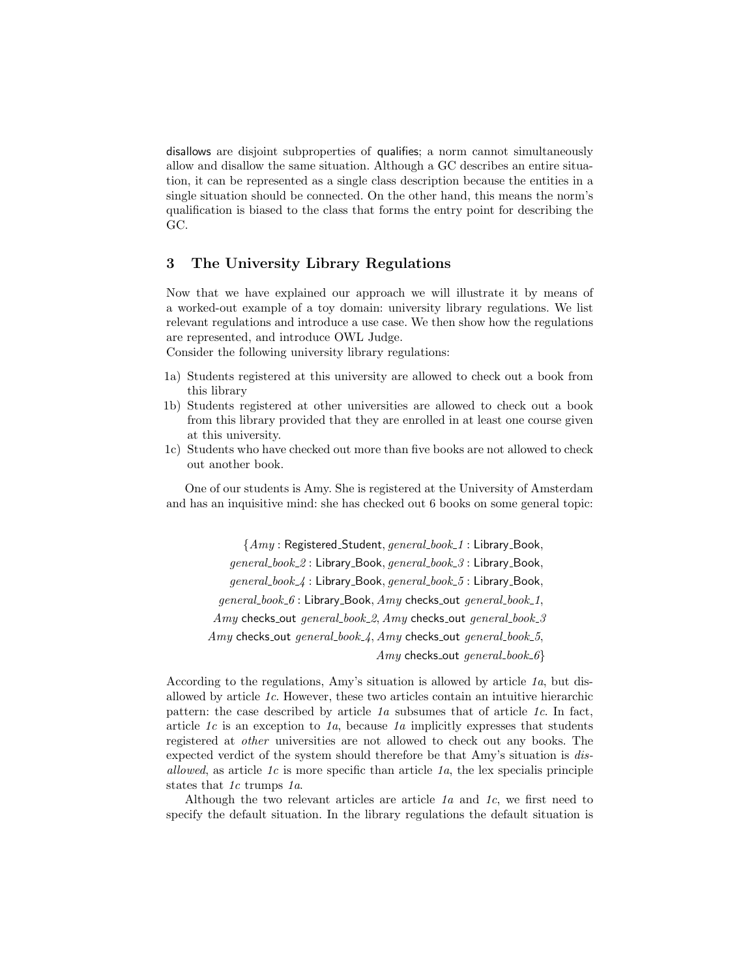disallows are disjoint subproperties of qualifies; a norm cannot simultaneously allow and disallow the same situation. Although a GC describes an entire situation, it can be represented as a single class description because the entities in a single situation should be connected. On the other hand, this means the norm's qualification is biased to the class that forms the entry point for describing the GC.

## 3 The University Library Regulations

Now that we have explained our approach we will illustrate it by means of a worked-out example of a toy domain: university library regulations. We list relevant regulations and introduce a use case. We then show how the regulations are represented, and introduce OWL Judge.

Consider the following university library regulations:

- 1a) Students registered at this university are allowed to check out a book from this library
- 1b) Students registered at other universities are allowed to check out a book from this library provided that they are enrolled in at least one course given at this university.
- 1c) Students who have checked out more than five books are not allowed to check out another book.

One of our students is Amy. She is registered at the University of Amsterdam and has an inquisitive mind: she has checked out 6 books on some general topic:

{Amy : Registered Student, general book 1 : Library Book, general\_book\_2: Library\_Book, general\_book\_3: Library\_Book, general\_book\_4: Library\_Book, general\_book\_5: Library\_Book,  $general\_book_6$ : Library Book,  $Amy$  checks out general book 1, Amy checks\_out general\_book\_2, Amy checks\_out general\_book\_3 Amy checks\_out general\_book\_4, Amy checks\_out general\_book\_5,  $Amy$  checks out general book 6}

According to the regulations, Amy's situation is allowed by article 1a, but disallowed by article 1c. However, these two articles contain an intuitive hierarchic pattern: the case described by article  $1a$  subsumes that of article  $1c$ . In fact, article  $1c$  is an exception to  $1a$ , because  $1a$  implicitly expresses that students registered at other universities are not allowed to check out any books. The expected verdict of the system should therefore be that Amy's situation is disallowed, as article  $1c$  is more specific than article  $1a$ , the lex specialis principle states that 1c trumps 1a.

Although the two relevant articles are article  $1a$  and  $1c$ , we first need to specify the default situation. In the library regulations the default situation is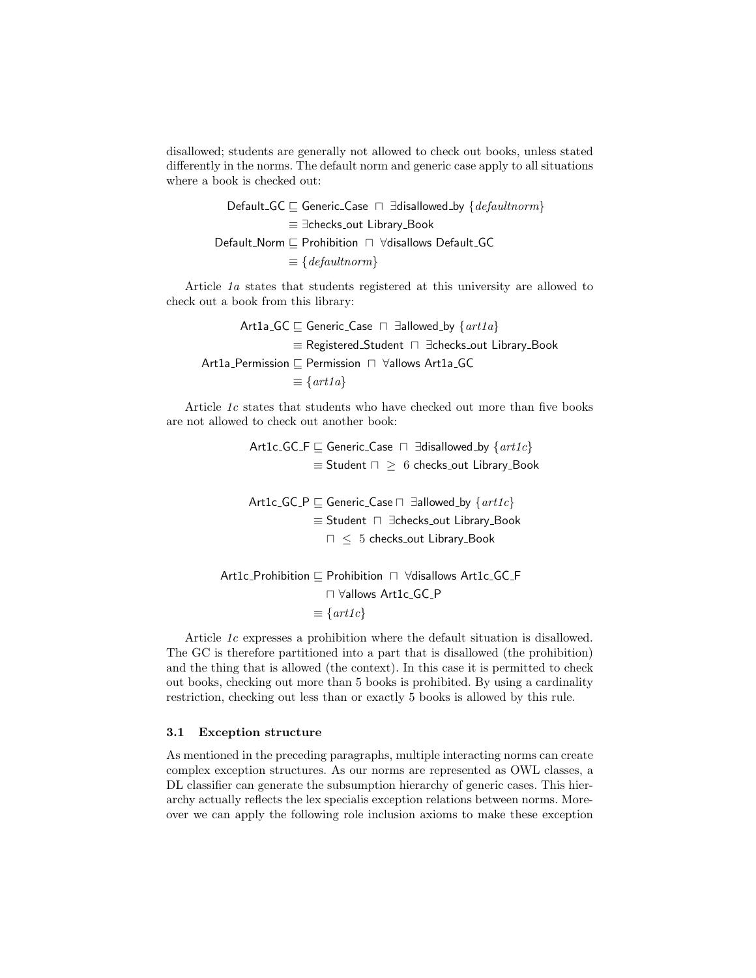disallowed; students are generally not allowed to check out books, unless stated differently in the norms. The default norm and generic case apply to all situations where a book is checked out:

> Default GC  $\subseteq$  Generic Case  $\sqcap$  ∃disallowed by {defaultnorm} ≡ ∃checks out Library Book Default\_Norm  $\sqsubseteq$  Prohibition  $\sqcap$  ∀disallows Default\_GC  $\equiv \{defaultnorm\}$

Article 1a states that students registered at this university are allowed to check out a book from this library:

\n
$$
\text{Art1a-GC} \sqsubseteq \text{Generic\_Case} \sqcap \exists \text{allowed\_by} \{ \text{art1a} \}
$$
\n
$$
\equiv \text{Registered\_Student} \sqcap \exists \text{checks\_out Library\_Book}
$$
\n

\n\n
$$
\text{Art1a\_Permission} \sqsubseteq \text{Permission} \sqcap \forall \text{allows Art1a\_GC}
$$
\n
$$
\equiv \{ \text{art1a} \}
$$
\n

Article 1c states that students who have checked out more than five books are not allowed to check out another book:

> Art1c\_GC\_F  $\sqsubseteq$  Generic\_Case  $\sqcap$  ∃disallowed\_by  $\{art1c\}$  $\equiv$  Student  $\Box \geq 6$  checks\_out Library\_Book Art1c\_GC\_P  $\sqsubseteq$  Generic\_Case  $\sqcap$  ∃allowed by  $\{art1c\}$ ≡ Student u ∃checks out Library Book

> > $\Box \leq 5$  checks\_out Library\_Book

```
Art1c Prohibition v Prohibition u ∀disallows Art1c GC F
        u ∀allows Art1c GC P
      \equiv \{art1c\}
```
Article 1c expresses a prohibition where the default situation is disallowed. The GC is therefore partitioned into a part that is disallowed (the prohibition) and the thing that is allowed (the context). In this case it is permitted to check out books, checking out more than 5 books is prohibited. By using a cardinality restriction, checking out less than or exactly 5 books is allowed by this rule.

#### 3.1 Exception structure

As mentioned in the preceding paragraphs, multiple interacting norms can create complex exception structures. As our norms are represented as OWL classes, a DL classifier can generate the subsumption hierarchy of generic cases. This hierarchy actually reflects the lex specialis exception relations between norms. Moreover we can apply the following role inclusion axioms to make these exception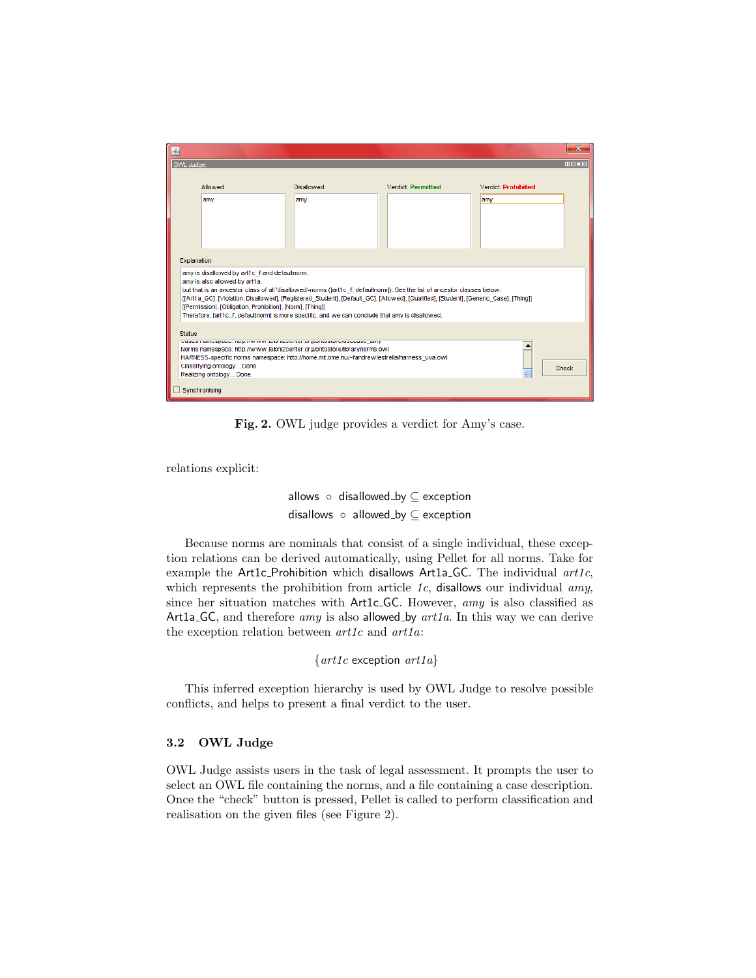| 国             |                                                                                                                                                                                                                                                                                                                                                                                                                                                                                                                       |                   |                           |                            | $\mathbf{x}$ |  |  |  |
|---------------|-----------------------------------------------------------------------------------------------------------------------------------------------------------------------------------------------------------------------------------------------------------------------------------------------------------------------------------------------------------------------------------------------------------------------------------------------------------------------------------------------------------------------|-------------------|---------------------------|----------------------------|--------------|--|--|--|
|               | OWL Judge:                                                                                                                                                                                                                                                                                                                                                                                                                                                                                                            |                   |                           |                            | $m$ $F$ $R$  |  |  |  |
|               | Allowed                                                                                                                                                                                                                                                                                                                                                                                                                                                                                                               | <b>Disallowed</b> | <b>Verdict: Permitted</b> | <b>Verdict: Prohibited</b> |              |  |  |  |
|               | amy                                                                                                                                                                                                                                                                                                                                                                                                                                                                                                                   | amy               |                           | amy                        |              |  |  |  |
|               |                                                                                                                                                                                                                                                                                                                                                                                                                                                                                                                       |                   |                           |                            |              |  |  |  |
| Explanation   |                                                                                                                                                                                                                                                                                                                                                                                                                                                                                                                       |                   |                           |                            |              |  |  |  |
|               | amy is disallowed by art1c f and defaultnorm.<br>amy is also allowed by art1a.<br>but that is an ancestor class of all 'disallowed'-norms (fart1c f, defaultnorm)). See the list of ancestor classes below:<br>[[Art1a_GC], [Violation, Disallowed], [Registered_Student], [Default_GC], [Allowed], [Qualified], [Student], [Generic_Case], [Thing]]<br>[[Permission], [Obligation, Prohibition], [Norm], [Thing]]<br>Therefore, [art1c f, defaultnorm] is more specific, and we can conclude that amy is disallowed. |                   |                           |                            |              |  |  |  |
| <b>Status</b> |                                                                                                                                                                                                                                                                                                                                                                                                                                                                                                                       |                   |                           |                            |              |  |  |  |
|               | odood manicopace, map, my wiw to total lized iter to groupore cruseculuse lamy<br>Norms namespace: http://www.leibnizcenter.org/ontostore/librarynorms.owl<br>HARNESS-specific norms namespace: http://home.mit.bme.hu/~fandrew/estrella/harness_uva.owl<br>Classifying ontology Done.<br>Check<br>W<br>Realizing ontology Done.                                                                                                                                                                                      |                   |                           |                            |              |  |  |  |
| Synchronising |                                                                                                                                                                                                                                                                                                                                                                                                                                                                                                                       |                   |                           |                            |              |  |  |  |

<span id="page-8-0"></span>Fig. 2. OWL judge provides a verdict for Amy's case.

relations explicit:

allows ◦ disallowed by ⊆ exception disallows ◦ allowed by ⊆ exception

Because norms are nominals that consist of a single individual, these exception relations can be derived automatically, using Pellet for all norms. Take for example the Art1c Prohibition which disallows Art1a GC. The individual  $art1c$ , which represents the prohibition from article  $1c$ , disallows our individual amy, since her situation matches with Art1c<sub>-GC</sub>. However, amy is also classified as Art1a<sub>-GC</sub>, and therefore *amy* is also allowed<sub>-by</sub>  $art1a$ . In this way we can derive the exception relation between  $art1c$  and  $art1a$ :

```
\{art1c exception art1a\}
```
This inferred exception hierarchy is used by OWL Judge to resolve possible conflicts, and helps to present a final verdict to the user.

#### 3.2 OWL Judge

OWL Judge assists users in the task of legal assessment. It prompts the user to select an OWL file containing the norms, and a file containing a case description. Once the "check" button is pressed, Pellet is called to perform classification and realisation on the given files (see Figure [2\)](#page-8-0).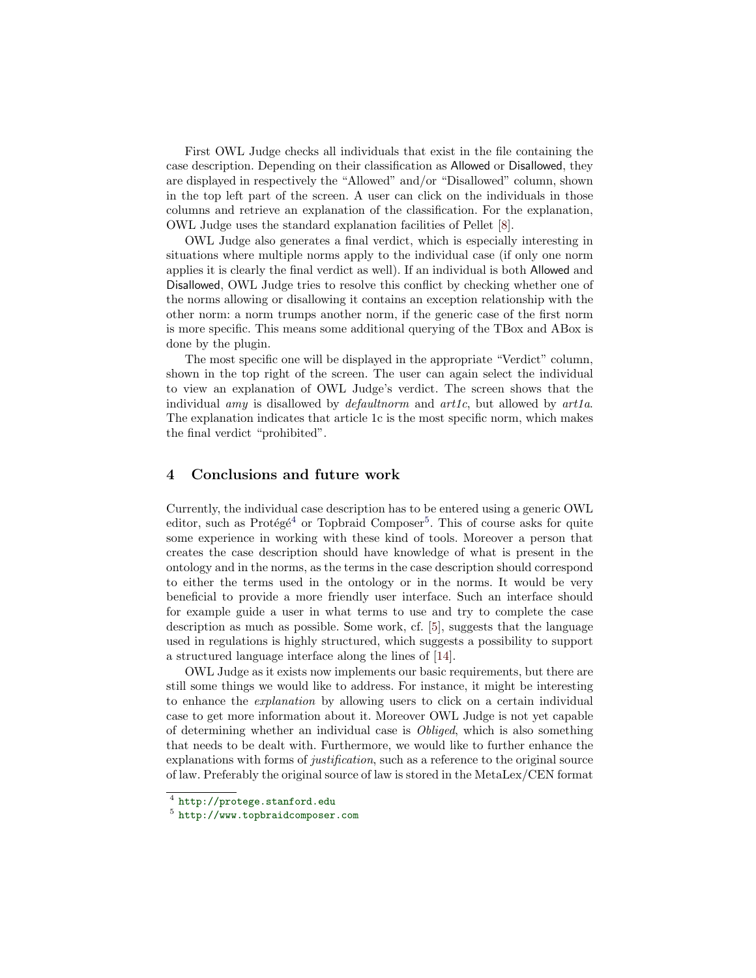First OWL Judge checks all individuals that exist in the file containing the case description. Depending on their classification as Allowed or Disallowed, they are displayed in respectively the "Allowed" and/or "Disallowed" column, shown in the top left part of the screen. A user can click on the individuals in those columns and retrieve an explanation of the classification. For the explanation, OWL Judge uses the standard explanation facilities of Pellet [\[8\]](#page-11-7).

OWL Judge also generates a final verdict, which is especially interesting in situations where multiple norms apply to the individual case (if only one norm applies it is clearly the final verdict as well). If an individual is both Allowed and Disallowed, OWL Judge tries to resolve this conflict by checking whether one of the norms allowing or disallowing it contains an exception relationship with the other norm: a norm trumps another norm, if the generic case of the first norm is more specific. This means some additional querying of the TBox and ABox is done by the plugin.

The most specific one will be displayed in the appropriate "Verdict" column, shown in the top right of the screen. The user can again select the individual to view an explanation of OWL Judge's verdict. The screen shows that the individual *amy* is disallowed by *default norm* and  $art1c$ , but allowed by  $art1a$ . The explanation indicates that article 1c is the most specific norm, which makes the final verdict "prohibited".

## 4 Conclusions and future work

Currently, the individual case description has to be entered using a generic OWL editor, such as Protégé<sup>[4](#page-9-0)</sup> or Topbraid Composer<sup>[5](#page-9-1)</sup>. This of course asks for quite some experience in working with these kind of tools. Moreover a person that creates the case description should have knowledge of what is present in the ontology and in the norms, as the terms in the case description should correspond to either the terms used in the ontology or in the norms. It would be very beneficial to provide a more friendly user interface. Such an interface should for example guide a user in what terms to use and try to complete the case description as much as possible. Some work, cf. [\[5\]](#page-10-4), suggests that the language used in regulations is highly structured, which suggests a possibility to support a structured language interface along the lines of [\[14\]](#page-11-8).

OWL Judge as it exists now implements our basic requirements, but there are still some things we would like to address. For instance, it might be interesting to enhance the explanation by allowing users to click on a certain individual case to get more information about it. Moreover OWL Judge is not yet capable of determining whether an individual case is Obliged, which is also something that needs to be dealt with. Furthermore, we would like to further enhance the explanations with forms of justification, such as a reference to the original source of law. Preferably the original source of law is stored in the MetaLex/CEN format

<span id="page-9-0"></span> $^4$  <http://protege.stanford.edu>

<span id="page-9-1"></span><sup>5</sup> <http://www.topbraidcomposer.com>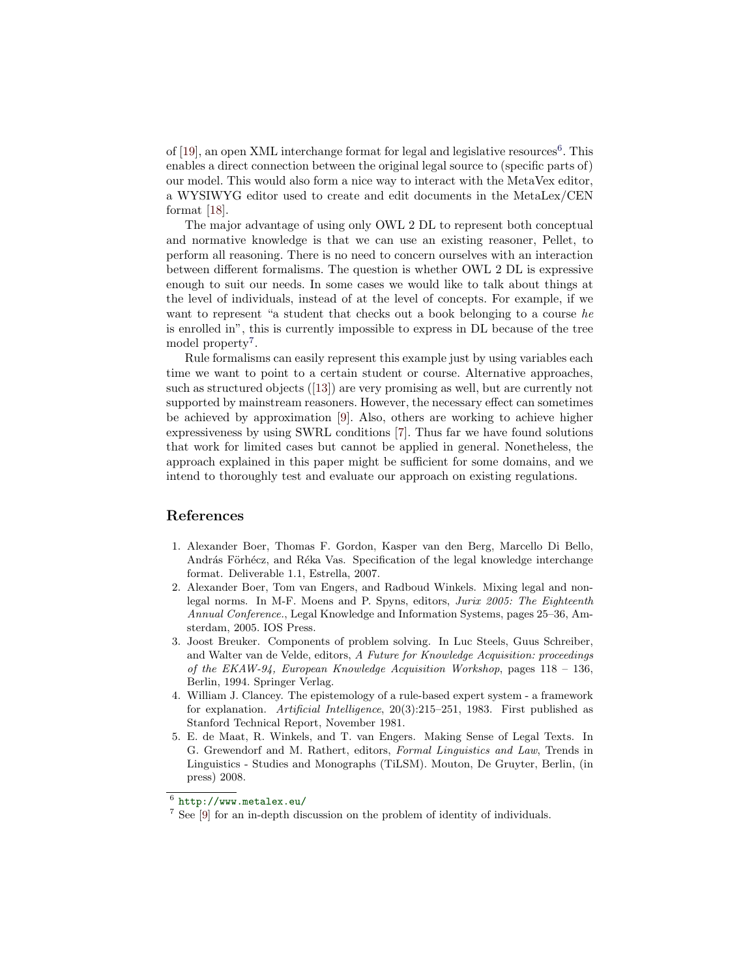of  $[19]$ , an open XML interchange format for legal and legislative resources<sup>[6](#page-10-5)</sup>. This enables a direct connection between the original legal source to (specific parts of) our model. This would also form a nice way to interact with the MetaVex editor, a WYSIWYG editor used to create and edit documents in the MetaLex/CEN format [\[18\]](#page-11-10).

The major advantage of using only OWL 2 DL to represent both conceptual and normative knowledge is that we can use an existing reasoner, Pellet, to perform all reasoning. There is no need to concern ourselves with an interaction between different formalisms. The question is whether OWL 2 DL is expressive enough to suit our needs. In some cases we would like to talk about things at the level of individuals, instead of at the level of concepts. For example, if we want to represent "a student that checks out a book belonging to a course he is enrolled in", this is currently impossible to express in DL because of the tree model property<sup>[7](#page-10-6)</sup>.

Rule formalisms can easily represent this example just by using variables each time we want to point to a certain student or course. Alternative approaches, such as structured objects ([\[13\]](#page-11-11)) are very promising as well, but are currently not supported by mainstream reasoners. However, the necessary effect can sometimes be achieved by approximation [\[9\]](#page-11-12). Also, others are working to achieve higher expressiveness by using SWRL conditions [\[7\]](#page-11-13). Thus far we have found solutions that work for limited cases but cannot be applied in general. Nonetheless, the approach explained in this paper might be sufficient for some domains, and we intend to thoroughly test and evaluate our approach on existing regulations.

#### References

- <span id="page-10-0"></span>1. Alexander Boer, Thomas F. Gordon, Kasper van den Berg, Marcello Di Bello, András Förhécz, and Réka Vas. Specification of the legal knowledge interchange format. Deliverable 1.1, Estrella, 2007.
- <span id="page-10-3"></span>2. Alexander Boer, Tom van Engers, and Radboud Winkels. Mixing legal and nonlegal norms. In M-F. Moens and P. Spyns, editors, Jurix 2005: The Eighteenth Annual Conference., Legal Knowledge and Information Systems, pages 25–36, Amsterdam, 2005. IOS Press.
- <span id="page-10-1"></span>3. Joost Breuker. Components of problem solving. In Luc Steels, Guus Schreiber, and Walter van de Velde, editors, A Future for Knowledge Acquisition: proceedings of the EKAW-94, European Knowledge Acquisition Workshop, pages  $118 - 136$ , Berlin, 1994. Springer Verlag.
- <span id="page-10-2"></span>4. William J. Clancey. The epistemology of a rule-based expert system - a framework for explanation. Artificial Intelligence, 20(3):215–251, 1983. First published as Stanford Technical Report, November 1981.
- <span id="page-10-4"></span>5. E. de Maat, R. Winkels, and T. van Engers. Making Sense of Legal Texts. In G. Grewendorf and M. Rathert, editors, Formal Linguistics and Law, Trends in Linguistics - Studies and Monographs (TiLSM). Mouton, De Gruyter, Berlin, (in press) 2008.

<span id="page-10-5"></span> $^6$  <http://www.metalex.eu/>

<span id="page-10-6"></span><sup>7</sup> See [\[9\]](#page-11-12) for an in-depth discussion on the problem of identity of individuals.